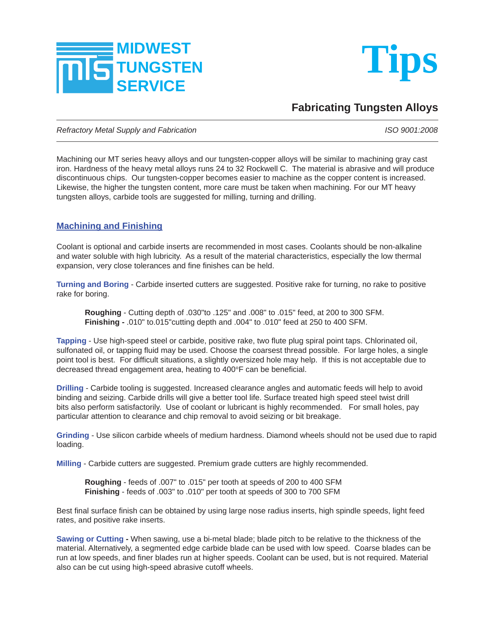



## **Fabricating Tungsten Alloys**

*Refractory Metal Supply and Fabrication ISO 9001:2008* 

Machining our MT series heavy alloys and our tungsten-copper alloys will be similar to machining gray cast iron. Hardness of the heavy metal alloys runs 24 to 32 Rockwell C. The material is abrasive and will produce discontinuous chips. Our tungsten-copper becomes easier to machine as the copper content is increased. Likewise, the higher the tungsten content, more care must be taken when machining. For our MT heavy tungsten alloys, carbide tools are suggested for milling, turning and drilling.

## **Machining and Finishing**

Coolant is optional and carbide inserts are recommended in most cases. Coolants should be non-alkaline and water soluble with high lubricity. As a result of the material characteristics, especially the low thermal expansion, very close tolerances and fine finishes can be held.

**Turning and Boring** - Carbide inserted cutters are suggested. Positive rake for turning, no rake to positive rake for boring.

 **Roughing** - Cutting depth of .030"to .125" and .008" to .015" feed, at 200 to 300 SFM.  **Finishing -** .010" to.015"cutting depth and .004" to .010" feed at 250 to 400 SFM.

Tapping - Use high-speed steel or carbide, positive rake, two flute plug spiral point taps. Chlorinated oil, sulfonated oil, or tapping fluid may be used. Choose the coarsest thread possible. For large holes, a single point tool is best. For difficult situations, a slightly oversized hole may help. If this is not acceptable due to decreased thread engagement area, heating to 400°F can be beneficial.

**Drilling** - Carbide tooling is suggested. Increased clearance angles and automatic feeds will help to avoid binding and seizing. Carbide drills will give a better tool life. Surface treated high speed steel twist drill bits also perform satisfactorily. Use of coolant or lubricant is highly recommended. For small holes, pay particular attention to clearance and chip removal to avoid seizing or bit breakage.

**Grinding** - Use silicon carbide wheels of medium hardness. Diamond wheels should not be used due to rapid loading.

**Milling** - Carbide cutters are suggested. Premium grade cutters are highly recommended.

 **Roughing** - feeds of .007" to .015" per tooth at speeds of 200 to 400 SFM **Finishing** - feeds of .003" to .010" per tooth at speeds of 300 to 700 SFM

Best final surface finish can be obtained by using large nose radius inserts, high spindle speeds, light feed rates, and positive rake inserts.

**Sawing or Cutting -** When sawing, use a bi-metal blade; blade pitch to be relative to the thickness of the material. Alternatively, a segmented edge carbide blade can be used with low speed. Coarse blades can be run at low speeds, and finer blades run at higher speeds. Coolant can be used, but is not required. Material also can be cut using high-speed abrasive cutoff wheels.